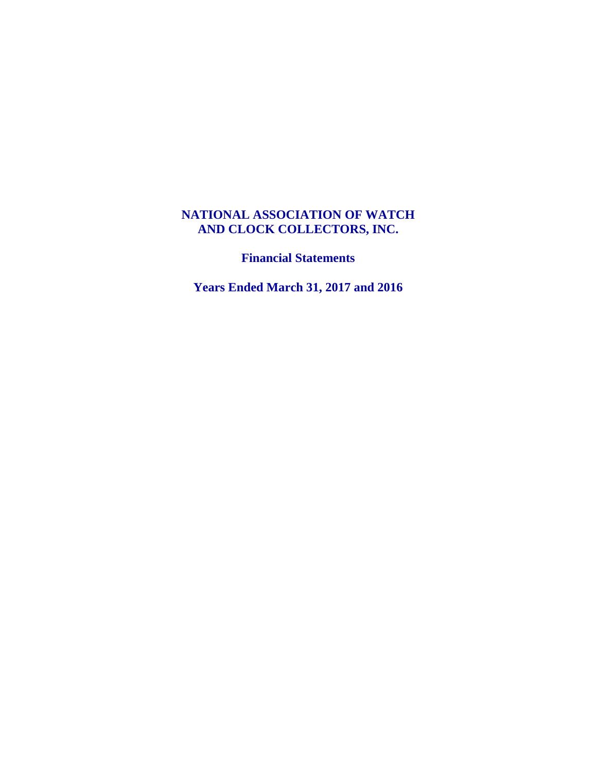# **NATIONAL ASSOCIATION OF WATCH AND CLOCK COLLECTORS, INC.**

**Financial Statements**

**Years Ended March 31, 2017 and 2016**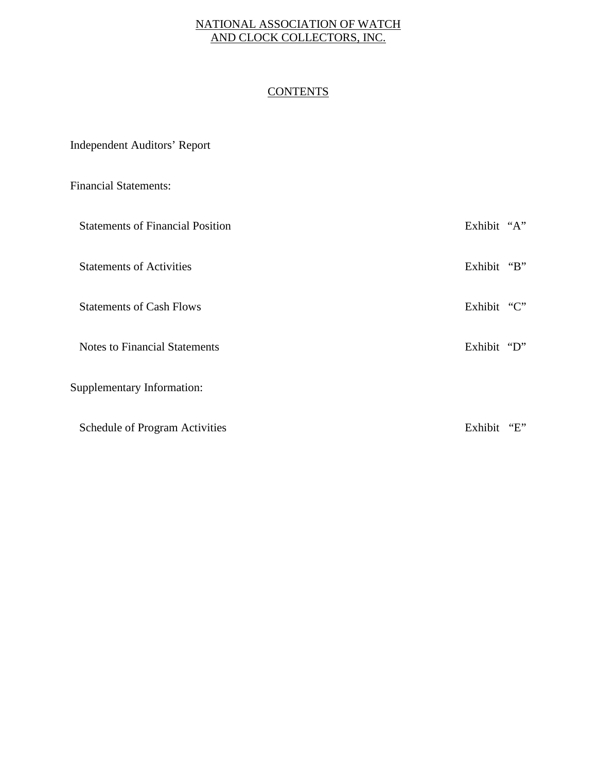# NATIONAL ASSOCIATION OF WATCH AND CLOCK COLLECTORS, INC.

# **CONTENTS**

| <b>Independent Auditors' Report</b>     |                         |
|-----------------------------------------|-------------------------|
| <b>Financial Statements:</b>            |                         |
| <b>Statements of Financial Position</b> | Exhibit "A"             |
| <b>Statements of Activities</b>         | Exhibit "B"             |
| <b>Statements of Cash Flows</b>         | Exhibit "C"             |
| <b>Notes to Financial Statements</b>    | Exhibit "D"             |
| Supplementary Information:              |                         |
| <b>Schedule of Program Activities</b>   | Exhibit<br>$\mathrm{E}$ |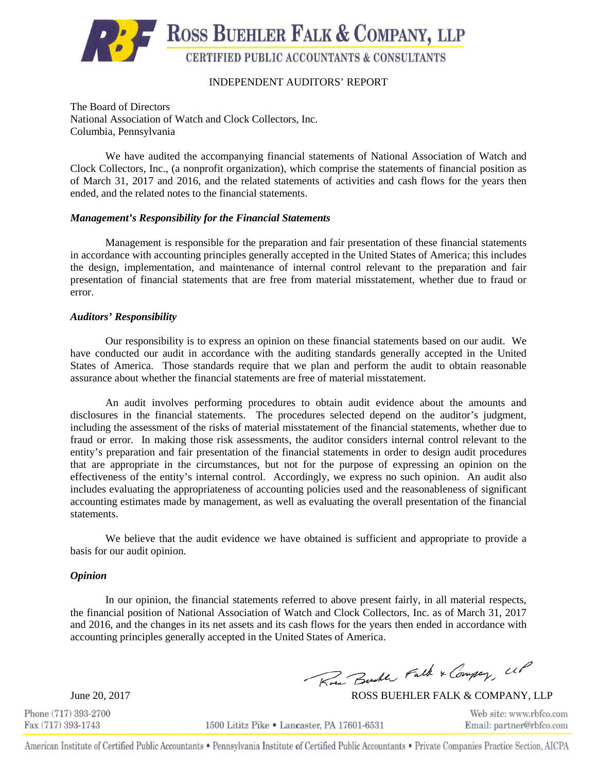

# INDEPENDENT AUDITORS' REPORT

The Board of Directors National Association of Watch and Clock Collectors, Inc. Columbia, Pennsylvania

We have audited the accompanying financial statements of National Association of Watch and Clock Collectors, Inc., (a nonprofit organization), which comprise the statements of financial position as of March 31, 2017 and 2016, and the related statements of activities and cash flows for the years then ended, and the related notes to the financial statements.

### *Management's Responsibility for the Financial Statements*

Management is responsible for the preparation and fair presentation of these financial statements in accordance with accounting principles generally accepted in the United States of America; this includes the design, implementation, and maintenance of internal control relevant to the preparation and fair presentation of financial statements that are free from material misstatement, whether due to fraud or error.

### *Auditors' Responsibility*

Our responsibility is to express an opinion on these financial statements based on our audit. We have conducted our audit in accordance with the auditing standards generally accepted in the United States of America. Those standards require that we plan and perform the audit to obtain reasonable assurance about whether the financial statements are free of material misstatement.

An audit involves performing procedures to obtain audit evidence about the amounts and disclosures in the financial statements. The procedures selected depend on the auditor's judgment, including the assessment of the risks of material misstatement of the financial statements, whether due to fraud or error. In making those risk assessments, the auditor considers internal control relevant to the entity's preparation and fair presentation of the financial statements in order to design audit procedures that are appropriate in the circumstances, but not for the purpose of expressing an opinion on the effectiveness of the entity's internal control. Accordingly, we express no such opinion. An audit also includes evaluating the appropriateness of accounting policies used and the reasonableness of significant accounting estimates made by management, as well as evaluating the overall presentation of the financial statements.

We believe that the audit evidence we have obtained is sufficient and appropriate to provide a basis for our audit opinion.

### *Opinion*

In our opinion, the financial statements referred to above present fairly, in all material respects, the financial position of National Association of Watch and Clock Collectors, Inc. as of March 31, 2017 and 2016, and the changes in its net assets and its cash flows for the years then ended in accordance with accounting principles generally accepted in the United States of America.

Phone (717) 393-2700 Fax (717) 393-1743

Rose Bushler Falk & Company, UP

June 20, 2017 **ROSS BUEHLER FALK & COMPANY, LLP** 

1500 Lititz Pike • Lancaster, PA 17601-6531

Web site: www.rbfco.com Email: partner@rbfco.com

American Institute of Certified Public Accountants . Pennsylvania Institute of Certified Public Accountants . Private Companies Practice Section, AICPA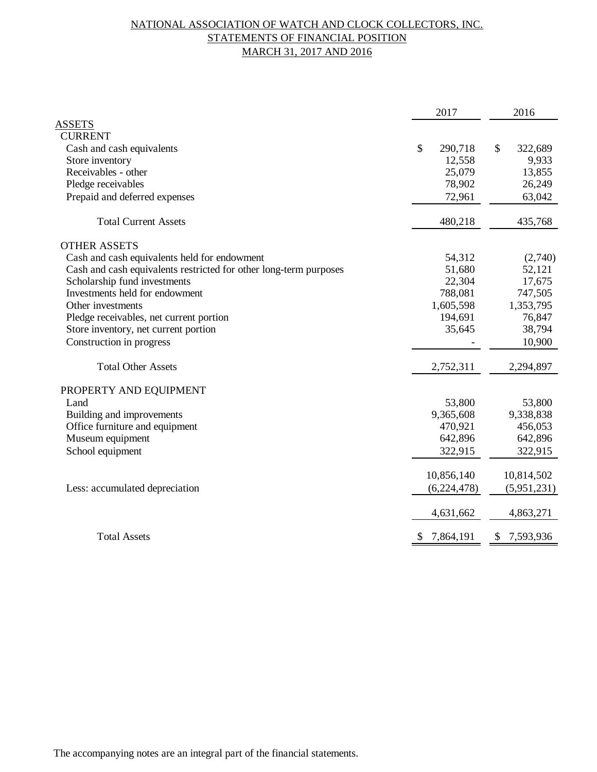# NATIONAL ASSOCIATION OF WATCH AND CLOCK COLLECTORS, INC. STATEMENTS OF FINANCIAL POSITION MARCH 31, 2017 AND 2016

|                                                                   | 2017         |             | 2016            |  |
|-------------------------------------------------------------------|--------------|-------------|-----------------|--|
| <b>ASSETS</b>                                                     |              |             |                 |  |
| <b>CURRENT</b>                                                    |              |             |                 |  |
| Cash and cash equivalents                                         | \$           | 290,718     | \$<br>322,689   |  |
| Store inventory                                                   |              | 12,558      | 9,933           |  |
| Receivables - other                                               |              | 25,079      | 13,855          |  |
| Pledge receivables                                                |              | 78,902      | 26,249          |  |
| Prepaid and deferred expenses                                     |              | 72,961      | 63,042          |  |
| <b>Total Current Assets</b>                                       |              | 480,218     | 435,768         |  |
| <b>OTHER ASSETS</b>                                               |              |             |                 |  |
| Cash and cash equivalents held for endowment                      |              | 54,312      | (2,740)         |  |
| Cash and cash equivalents restricted for other long-term purposes |              | 51,680      | 52,121          |  |
| Scholarship fund investments                                      |              | 22,304      | 17,675          |  |
| Investments held for endowment                                    |              | 788,081     | 747,505         |  |
| Other investments                                                 |              | 1,605,598   | 1,353,795       |  |
| Pledge receivables, net current portion                           |              | 194,691     | 76,847          |  |
| Store inventory, net current portion                              |              | 35,645      | 38,794          |  |
| Construction in progress                                          |              |             | 10,900          |  |
| <b>Total Other Assets</b>                                         |              | 2,752,311   | 2,294,897       |  |
| PROPERTY AND EQUIPMENT                                            |              |             |                 |  |
| Land                                                              |              | 53,800      | 53,800          |  |
| Building and improvements                                         |              | 9,365,608   | 9,338,838       |  |
| Office furniture and equipment                                    |              | 470,921     | 456,053         |  |
| Museum equipment                                                  |              | 642,896     | 642,896         |  |
| School equipment                                                  |              | 322,915     | 322,915         |  |
|                                                                   |              | 10,856,140  | 10,814,502      |  |
| Less: accumulated depreciation                                    |              | (6,224,478) | (5,951,231)     |  |
|                                                                   |              |             |                 |  |
|                                                                   |              | 4,631,662   | 4,863,271       |  |
| <b>Total Assets</b>                                               | <sup>2</sup> | 7,864,191   | \$<br>7,593,936 |  |

The accompanying notes are an integral part of the financial statements.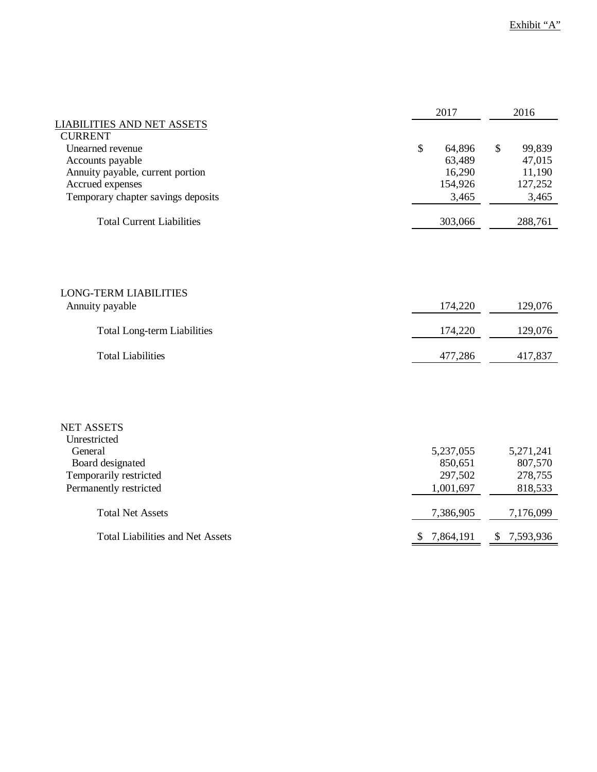|                                            | 2017                                |                            | 2016               |  |
|--------------------------------------------|-------------------------------------|----------------------------|--------------------|--|
| <b>LIABILITIES AND NET ASSETS</b>          |                                     |                            |                    |  |
| <b>CURRENT</b><br>Unearned revenue         | $\boldsymbol{\mathsf{S}}$<br>64,896 | $\mathcal{S}$              | 99,839             |  |
| Accounts payable                           | 63,489                              |                            | 47,015             |  |
| Annuity payable, current portion           | 16,290                              |                            | 11,190             |  |
| Accrued expenses                           | 154,926                             |                            | 127,252            |  |
| Temporary chapter savings deposits         | 3,465                               |                            | 3,465              |  |
| <b>Total Current Liabilities</b>           | 303,066                             |                            | 288,761            |  |
|                                            |                                     |                            |                    |  |
| <b>LONG-TERM LIABILITIES</b>               |                                     |                            |                    |  |
| Annuity payable                            | 174,220                             |                            | 129,076            |  |
| <b>Total Long-term Liabilities</b>         | 174,220                             |                            | 129,076            |  |
| <b>Total Liabilities</b>                   | 477,286                             |                            | 417,837            |  |
|                                            |                                     |                            |                    |  |
| <b>NET ASSETS</b>                          |                                     |                            |                    |  |
| Unrestricted                               |                                     |                            |                    |  |
| General                                    | 5,237,055                           | 5,271,241                  |                    |  |
| Board designated<br>Temporarily restricted | 850,651<br>297,502                  |                            | 807,570<br>278,755 |  |
| Permanently restricted                     | 1,001,697                           |                            | 818,533            |  |
|                                            |                                     |                            |                    |  |
| <b>Total Net Assets</b>                    | 7,386,905                           | 7,176,099                  |                    |  |
| <b>Total Liabilities and Net Assets</b>    | 7,864,191<br>\$                     | 7,593,936<br>$\mathcal{S}$ |                    |  |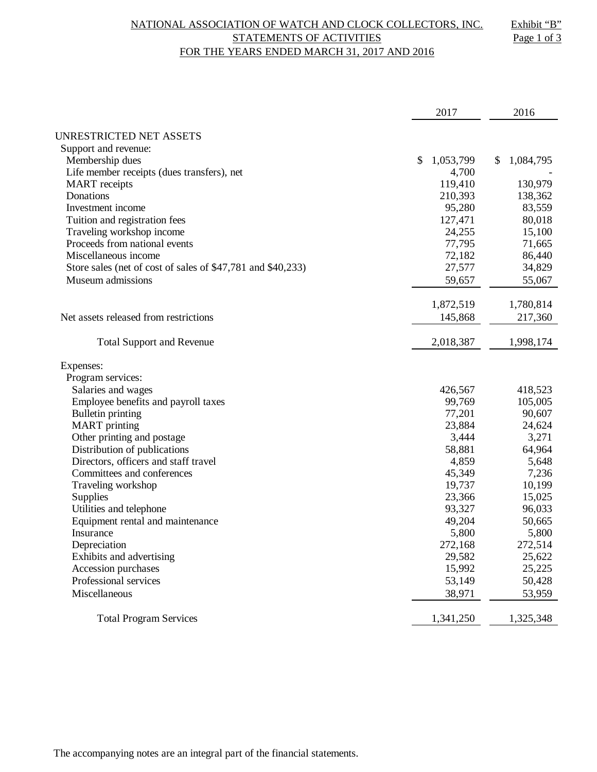# NATIONAL ASSOCIATION OF WATCH AND CLOCK COLLECTORS, INC. STATEMENTS OF ACTIVITIES FOR THE YEARS ENDED MARCH 31, 2017 AND 2016

Exhibit "B"

Page 1 of 3

|                                                             | 2017            | 2016                      |
|-------------------------------------------------------------|-----------------|---------------------------|
|                                                             |                 |                           |
| UNRESTRICTED NET ASSETS                                     |                 |                           |
| Support and revenue:<br>Membership dues                     | \$<br>1,053,799 | 1,084,795<br>$\mathbb{S}$ |
| Life member receipts (dues transfers), net                  | 4,700           |                           |
| <b>MART</b> receipts                                        | 119,410         | 130,979                   |
| Donations                                                   | 210,393         | 138,362                   |
| Investment income                                           | 95,280          | 83,559                    |
| Tuition and registration fees                               | 127,471         | 80,018                    |
| Traveling workshop income                                   | 24,255          | 15,100                    |
| Proceeds from national events                               | 77,795          | 71,665                    |
| Miscellaneous income                                        | 72,182          | 86,440                    |
| Store sales (net of cost of sales of \$47,781 and \$40,233) | 27,577          | 34,829                    |
| Museum admissions                                           | 59,657          | 55,067                    |
|                                                             |                 |                           |
|                                                             | 1,872,519       | 1,780,814                 |
| Net assets released from restrictions                       | 145,868         | 217,360                   |
|                                                             |                 |                           |
| <b>Total Support and Revenue</b>                            | 2,018,387       | 1,998,174                 |
|                                                             |                 |                           |
| Expenses:                                                   |                 |                           |
| Program services:                                           |                 |                           |
| Salaries and wages                                          | 426,567         | 418,523                   |
| Employee benefits and payroll taxes                         | 99,769          | 105,005                   |
| <b>Bulletin printing</b>                                    | 77,201          | 90,607                    |
| <b>MART</b> printing                                        | 23,884          | 24,624                    |
| Other printing and postage                                  | 3,444           | 3,271                     |
| Distribution of publications                                | 58,881          | 64,964                    |
| Directors, officers and staff travel                        | 4,859           | 5,648                     |
| Committees and conferences                                  | 45,349          | 7,236                     |
| Traveling workshop                                          | 19,737          | 10,199                    |
| Supplies                                                    | 23,366          | 15,025                    |
| Utilities and telephone                                     | 93,327          | 96,033                    |
| Equipment rental and maintenance                            | 49,204          | 50,665                    |
| Insurance                                                   | 5,800           | 5,800                     |
| Depreciation                                                | 272,168         | 272,514                   |
| Exhibits and advertising                                    | 29,582          | 25,622                    |
| Accession purchases                                         | 15,992          | 25,225                    |
| Professional services                                       | 53,149          | 50,428                    |
| Miscellaneous                                               | 38,971          | 53,959                    |
| <b>Total Program Services</b>                               | 1,341,250       | 1,325,348                 |
|                                                             |                 |                           |

The accompanying notes are an integral part of the financial statements.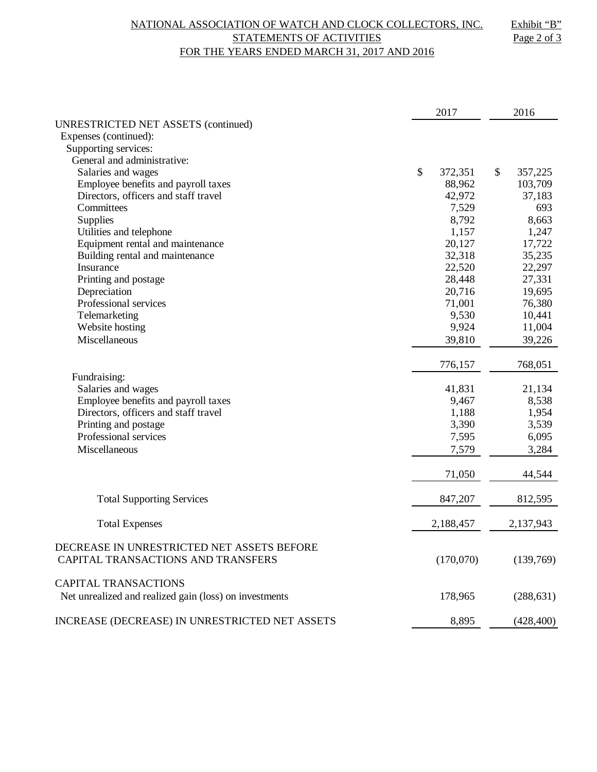# NATIONAL ASSOCIATION OF WATCH AND CLOCK COLLECTORS, INC. STATEMENTS OF ACTIVITIES

# FOR THE YEARS ENDED MARCH 31, 2017 AND 2016

Exhibit "B" Page 2 of 3

|                                                                                  | 2017          |    | 2016       |  |
|----------------------------------------------------------------------------------|---------------|----|------------|--|
| <b>UNRESTRICTED NET ASSETS (continued)</b>                                       |               |    |            |  |
| Expenses (continued):                                                            |               |    |            |  |
| Supporting services:                                                             |               |    |            |  |
| General and administrative:                                                      |               |    |            |  |
| Salaries and wages                                                               | \$<br>372,351 | \$ | 357,225    |  |
| Employee benefits and payroll taxes                                              | 88,962        |    | 103,709    |  |
| Directors, officers and staff travel                                             | 42,972        |    | 37,183     |  |
| Committees                                                                       | 7,529         |    | 693        |  |
| <b>Supplies</b>                                                                  | 8,792         |    | 8,663      |  |
| Utilities and telephone                                                          | 1,157         |    | 1,247      |  |
| Equipment rental and maintenance                                                 | 20,127        |    | 17,722     |  |
| Building rental and maintenance                                                  | 32,318        |    | 35,235     |  |
| Insurance                                                                        | 22,520        |    | 22,297     |  |
| Printing and postage                                                             | 28,448        |    | 27,331     |  |
| Depreciation                                                                     | 20,716        |    | 19,695     |  |
| Professional services                                                            | 71,001        |    | 76,380     |  |
| Telemarketing                                                                    | 9,530         |    | 10,441     |  |
| Website hosting                                                                  | 9,924         |    | 11,004     |  |
| Miscellaneous                                                                    | 39,810        |    | 39,226     |  |
|                                                                                  | 776,157       |    | 768,051    |  |
| Fundraising:                                                                     |               |    |            |  |
| Salaries and wages                                                               | 41,831        |    | 21,134     |  |
| Employee benefits and payroll taxes                                              | 9,467         |    | 8,538      |  |
| Directors, officers and staff travel                                             | 1,188         |    | 1,954      |  |
| Printing and postage                                                             | 3,390         |    | 3,539      |  |
| Professional services                                                            | 7,595         |    | 6,095      |  |
| Miscellaneous                                                                    | 7,579         |    | 3,284      |  |
|                                                                                  | 71,050        |    | 44,544     |  |
| <b>Total Supporting Services</b>                                                 | 847,207       |    | 812,595    |  |
| <b>Total Expenses</b>                                                            | 2,188,457     |    | 2,137,943  |  |
| DECREASE IN UNRESTRICTED NET ASSETS BEFORE<br>CAPITAL TRANSACTIONS AND TRANSFERS | (170,070)     |    | (139,769)  |  |
| <b>CAPITAL TRANSACTIONS</b>                                                      |               |    |            |  |
| Net unrealized and realized gain (loss) on investments                           | 178,965       |    | (288, 631) |  |
| INCREASE (DECREASE) IN UNRESTRICTED NET ASSETS                                   | 8,895         |    | (428, 400) |  |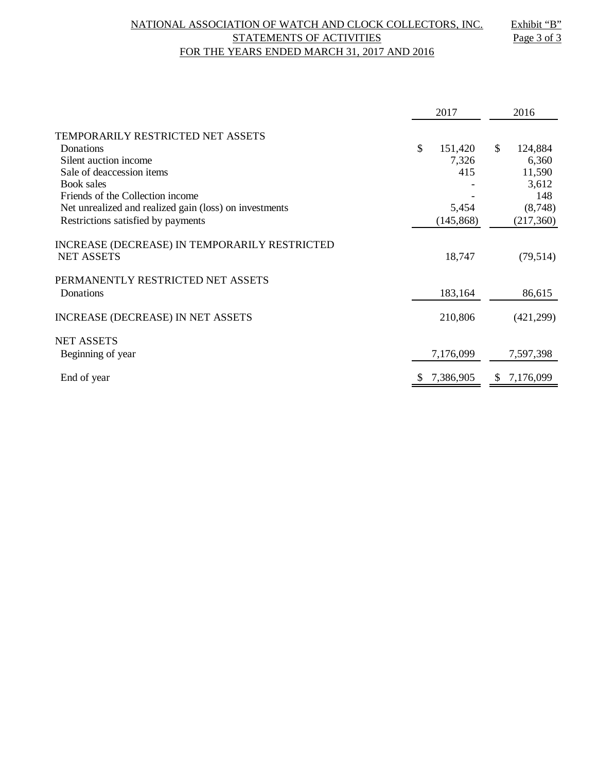# NATIONAL ASSOCIATION OF WATCH AND CLOCK COLLECTORS, INC. STATEMENTS OF ACTIVITIES FOR THE YEARS ENDED MARCH 31, 2017 AND 2016

Exhibit "B" Page 3 of 3

|                                                                    | 2017 |            |              | 2016       |  |
|--------------------------------------------------------------------|------|------------|--------------|------------|--|
| TEMPORARILY RESTRICTED NET ASSETS                                  |      |            |              |            |  |
| Donations                                                          | \$   | 151,420    | $\mathbb{S}$ | 124,884    |  |
| Silent auction income                                              |      | 7,326      |              | 6,360      |  |
| Sale of deaccession items                                          |      | 415        |              | 11,590     |  |
| <b>Book sales</b>                                                  |      |            |              | 3,612      |  |
| Friends of the Collection income                                   |      |            |              | 148        |  |
| Net unrealized and realized gain (loss) on investments             |      | 5,454      |              | (8,748)    |  |
| Restrictions satisfied by payments                                 |      | (145, 868) |              | (217,360)  |  |
| INCREASE (DECREASE) IN TEMPORARILY RESTRICTED<br><b>NET ASSETS</b> |      | 18,747     |              | (79, 514)  |  |
| PERMANENTLY RESTRICTED NET ASSETS<br>Donations                     |      | 183,164    |              | 86,615     |  |
|                                                                    |      |            |              |            |  |
| <b>INCREASE (DECREASE) IN NET ASSETS</b>                           |      | 210,806    |              | (421, 299) |  |
| <b>NET ASSETS</b>                                                  |      |            |              |            |  |
| Beginning of year                                                  |      | 7,176,099  |              | 7,597,398  |  |
| End of year                                                        | S    | 7,386,905  |              | 7,176,099  |  |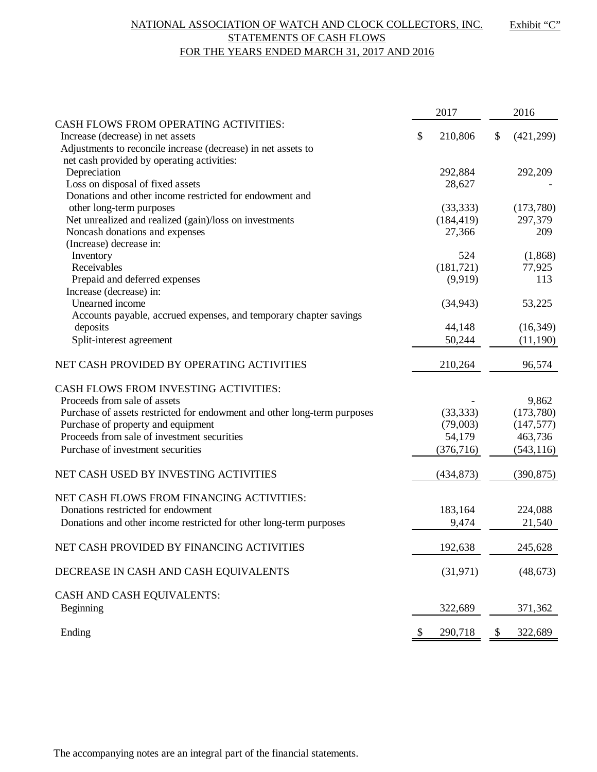Exhibit "C"

# NATIONAL ASSOCIATION OF WATCH AND CLOCK COLLECTORS, INC. STATEMENTS OF CASH FLOWS FOR THE YEARS ENDED MARCH 31, 2017 AND 2016

| <b>CASH FLOWS FROM OPERATING ACTIVITIES:</b><br>Increase (decrease) in net assets<br>Adjustments to reconcile increase (decrease) in net assets to<br>net cash provided by operating activities: | \$<br>210,806 | \$            | (421, 299) |
|--------------------------------------------------------------------------------------------------------------------------------------------------------------------------------------------------|---------------|---------------|------------|
|                                                                                                                                                                                                  |               |               |            |
|                                                                                                                                                                                                  |               |               |            |
|                                                                                                                                                                                                  |               |               |            |
|                                                                                                                                                                                                  |               |               |            |
| Depreciation                                                                                                                                                                                     | 292,884       |               | 292,209    |
| Loss on disposal of fixed assets                                                                                                                                                                 | 28,627        |               |            |
| Donations and other income restricted for endowment and                                                                                                                                          |               |               |            |
| other long-term purposes                                                                                                                                                                         | (33, 333)     |               | (173,780)  |
| Net unrealized and realized (gain)/loss on investments                                                                                                                                           | (184, 419)    |               | 297,379    |
| Noncash donations and expenses                                                                                                                                                                   | 27,366        |               | 209        |
| (Increase) decrease in:                                                                                                                                                                          |               |               |            |
| Inventory                                                                                                                                                                                        | 524           |               | (1,868)    |
| Receivables                                                                                                                                                                                      | (181, 721)    |               | 77,925     |
| Prepaid and deferred expenses                                                                                                                                                                    | (9,919)       |               | 113        |
| Increase (decrease) in:                                                                                                                                                                          |               |               |            |
| Unearned income                                                                                                                                                                                  | (34, 943)     |               | 53,225     |
| Accounts payable, accrued expenses, and temporary chapter savings                                                                                                                                |               |               |            |
| deposits                                                                                                                                                                                         | 44,148        |               | (16, 349)  |
| Split-interest agreement                                                                                                                                                                         | 50,244        |               | (11, 190)  |
| NET CASH PROVIDED BY OPERATING ACTIVITIES                                                                                                                                                        | 210,264       |               | 96,574     |
| CASH FLOWS FROM INVESTING ACTIVITIES:                                                                                                                                                            |               |               |            |
| Proceeds from sale of assets                                                                                                                                                                     |               |               | 9,862      |
| Purchase of assets restricted for endowment and other long-term purposes                                                                                                                         | (33, 333)     |               | (173,780)  |
| Purchase of property and equipment                                                                                                                                                               | (79,003)      |               | (147, 577) |
| Proceeds from sale of investment securities                                                                                                                                                      | 54,179        |               | 463,736    |
| Purchase of investment securities                                                                                                                                                                | (376, 716)    |               | (543, 116) |
| NET CASH USED BY INVESTING ACTIVITIES                                                                                                                                                            | (434, 873)    |               | (390, 875) |
| NET CASH FLOWS FROM FINANCING ACTIVITIES:                                                                                                                                                        |               |               |            |
| Donations restricted for endowment                                                                                                                                                               | 183,164       |               | 224,088    |
| Donations and other income restricted for other long-term purposes                                                                                                                               | 9,474         |               | 21,540     |
|                                                                                                                                                                                                  |               |               |            |
| NET CASH PROVIDED BY FINANCING ACTIVITIES                                                                                                                                                        | 192,638       |               | 245,628    |
| DECREASE IN CASH AND CASH EQUIVALENTS                                                                                                                                                            | (31, 971)     |               | (48, 673)  |
| <b>CASH AND CASH EQUIVALENTS:</b>                                                                                                                                                                |               |               |            |
| Beginning                                                                                                                                                                                        | 322,689       |               | 371,362    |
| Ending                                                                                                                                                                                           | 290,718       | $\mathcal{L}$ | 322,689    |

The accompanying notes are an integral part of the financial statements.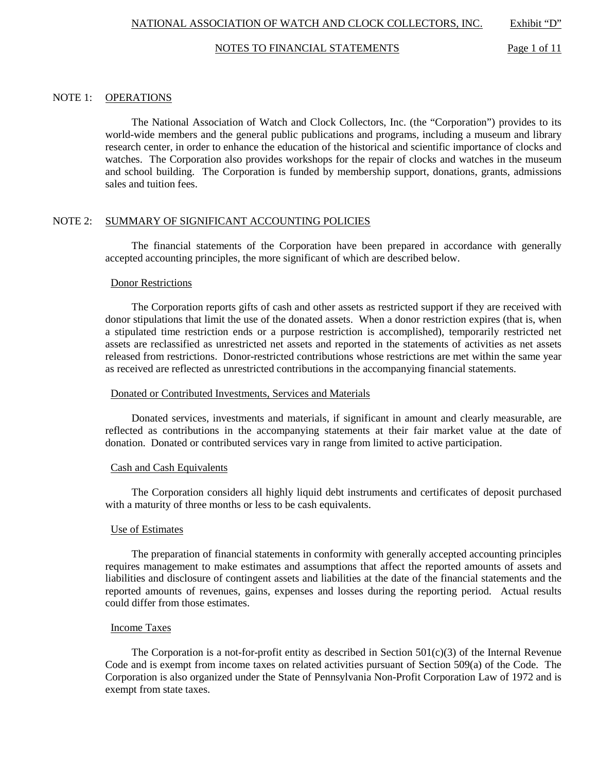### NOTES TO FINANCIAL STATEMENTS Page 1 of 11

# NOTE 1: OPERATIONS

The National Association of Watch and Clock Collectors, Inc. (the "Corporation") provides to its world-wide members and the general public publications and programs, including a museum and library research center, in order to enhance the education of the historical and scientific importance of clocks and watches. The Corporation also provides workshops for the repair of clocks and watches in the museum and school building. The Corporation is funded by membership support, donations, grants, admissions sales and tuition fees.

### NOTE 2: SUMMARY OF SIGNIFICANT ACCOUNTING POLICIES

The financial statements of the Corporation have been prepared in accordance with generally accepted accounting principles, the more significant of which are described below.

#### Donor Restrictions

The Corporation reports gifts of cash and other assets as restricted support if they are received with donor stipulations that limit the use of the donated assets. When a donor restriction expires (that is, when a stipulated time restriction ends or a purpose restriction is accomplished), temporarily restricted net assets are reclassified as unrestricted net assets and reported in the statements of activities as net assets released from restrictions. Donor-restricted contributions whose restrictions are met within the same year as received are reflected as unrestricted contributions in the accompanying financial statements.

#### Donated or Contributed Investments, Services and Materials

Donated services, investments and materials, if significant in amount and clearly measurable, are reflected as contributions in the accompanying statements at their fair market value at the date of donation. Donated or contributed services vary in range from limited to active participation.

#### Cash and Cash Equivalents

The Corporation considers all highly liquid debt instruments and certificates of deposit purchased with a maturity of three months or less to be cash equivalents.

#### Use of Estimates

The preparation of financial statements in conformity with generally accepted accounting principles requires management to make estimates and assumptions that affect the reported amounts of assets and liabilities and disclosure of contingent assets and liabilities at the date of the financial statements and the reported amounts of revenues, gains, expenses and losses during the reporting period. Actual results could differ from those estimates.

#### Income Taxes

The Corporation is a not-for-profit entity as described in Section  $501(c)(3)$  of the Internal Revenue Code and is exempt from income taxes on related activities pursuant of Section 509(a) of the Code. The Corporation is also organized under the State of Pennsylvania Non-Profit Corporation Law of 1972 and is exempt from state taxes.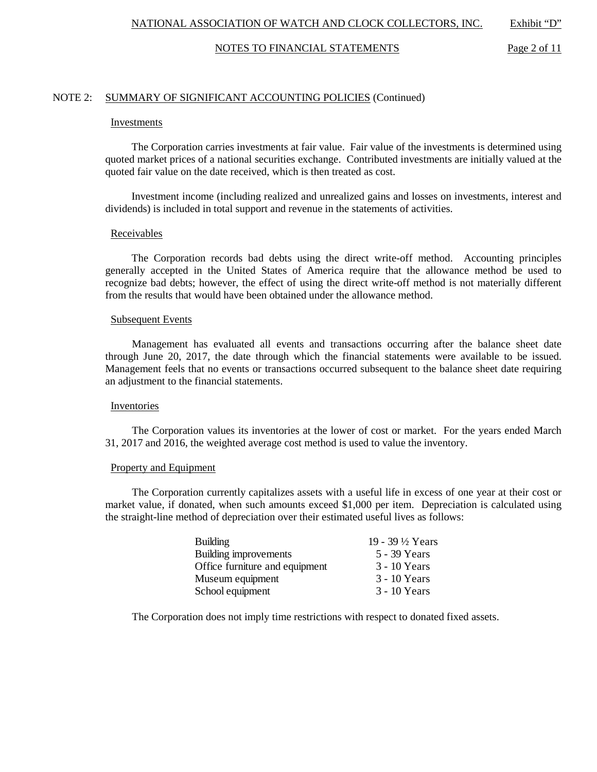#### NOTES TO FINANCIAL STATEMENTS Page 2 of 11

#### NOTE 2: SUMMARY OF SIGNIFICANT ACCOUNTING POLICIES (Continued)

#### Investments

The Corporation carries investments at fair value. Fair value of the investments is determined using quoted market prices of a national securities exchange. Contributed investments are initially valued at the quoted fair value on the date received, which is then treated as cost.

Investment income (including realized and unrealized gains and losses on investments, interest and dividends) is included in total support and revenue in the statements of activities.

#### Receivables

The Corporation records bad debts using the direct write-off method. Accounting principles generally accepted in the United States of America require that the allowance method be used to recognize bad debts; however, the effect of using the direct write-off method is not materially different from the results that would have been obtained under the allowance method.

#### Subsequent Events

Management has evaluated all events and transactions occurring after the balance sheet date through June 20, 2017, the date through which the financial statements were available to be issued. Management feels that no events or transactions occurred subsequent to the balance sheet date requiring an adjustment to the financial statements.

#### **Inventories**

The Corporation values its inventories at the lower of cost or market. For the years ended March 31, 2017 and 2016, the weighted average cost method is used to value the inventory.

#### Property and Equipment

The Corporation currently capitalizes assets with a useful life in excess of one year at their cost or market value, if donated, when such amounts exceed \$1,000 per item. Depreciation is calculated using the straight-line method of depreciation over their estimated useful lives as follows:

| <b>Building</b>                | 19 - 39 ½ Years |
|--------------------------------|-----------------|
| Building improvements          | 5 - 39 Years    |
| Office furniture and equipment | 3 - 10 Years    |
| Museum equipment               | 3 - 10 Years    |
| School equipment               | 3 - 10 Years    |

The Corporation does not imply time restrictions with respect to donated fixed assets.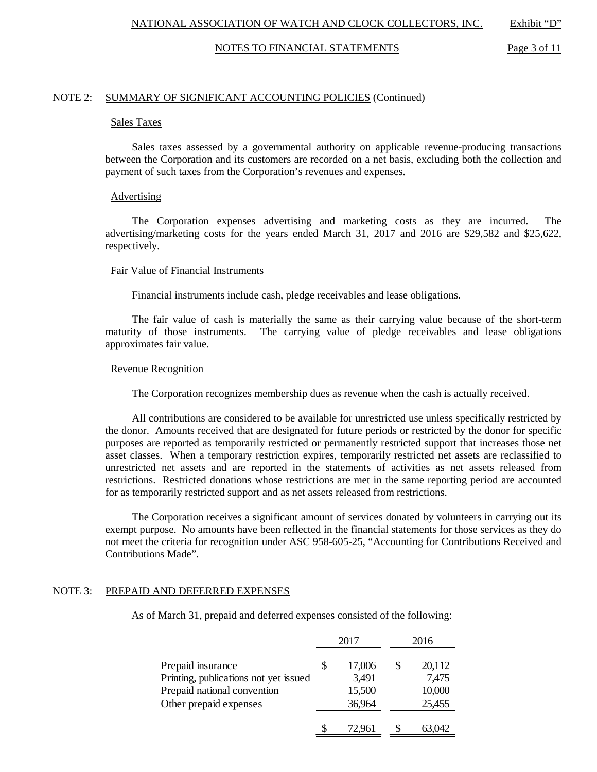### NOTES TO FINANCIAL STATEMENTS Page 3 of 11

#### NOTE 2: SUMMARY OF SIGNIFICANT ACCOUNTING POLICIES (Continued)

#### Sales Taxes

Sales taxes assessed by a governmental authority on applicable revenue-producing transactions between the Corporation and its customers are recorded on a net basis, excluding both the collection and payment of such taxes from the Corporation's revenues and expenses.

#### Advertising

The Corporation expenses advertising and marketing costs as they are incurred. The advertising/marketing costs for the years ended March 31, 2017 and 2016 are \$29,582 and \$25,622, respectively.

#### Fair Value of Financial Instruments

Financial instruments include cash, pledge receivables and lease obligations.

The fair value of cash is materially the same as their carrying value because of the short-term maturity of those instruments. The carrying value of pledge receivables and lease obligations approximates fair value.

#### Revenue Recognition

The Corporation recognizes membership dues as revenue when the cash is actually received.

All contributions are considered to be available for unrestricted use unless specifically restricted by the donor. Amounts received that are designated for future periods or restricted by the donor for specific purposes are reported as temporarily restricted or permanently restricted support that increases those net asset classes. When a temporary restriction expires, temporarily restricted net assets are reclassified to unrestricted net assets and are reported in the statements of activities as net assets released from restrictions. Restricted donations whose restrictions are met in the same reporting period are accounted for as temporarily restricted support and as net assets released from restrictions.

The Corporation receives a significant amount of services donated by volunteers in carrying out its exempt purpose. No amounts have been reflected in the financial statements for those services as they do not meet the criteria for recognition under ASC 958-605-25, "Accounting for Contributions Received and Contributions Made".

# NOTE 3: PREPAID AND DEFERRED EXPENSES

As of March 31, prepaid and deferred expenses consisted of the following:

|                                                                      |   | 2017            | 2016            |
|----------------------------------------------------------------------|---|-----------------|-----------------|
| Prepaid insurance                                                    | S | 17,006          | 20,112          |
| Printing, publications not yet issued<br>Prepaid national convention |   | 3,491<br>15,500 | 7,475<br>10,000 |
| Other prepaid expenses                                               |   | 36,964          | 25,455          |
|                                                                      |   | 72,961          | 63,042          |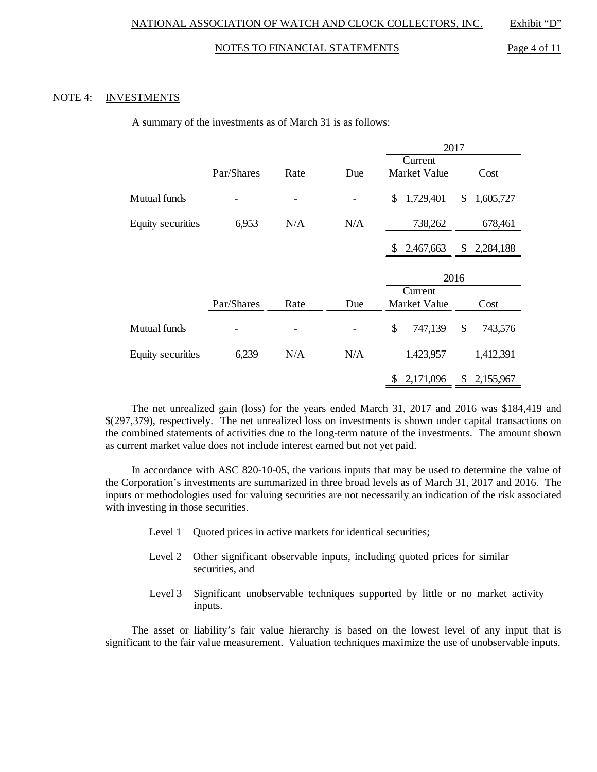#### NOTES TO FINANCIAL STATEMENTS Page 4 of 11

#### NOTE 4: INVESTMENTS

|                   |            |      |     | 2017                    |                  |
|-------------------|------------|------|-----|-------------------------|------------------|
|                   | Par/Shares | Rate | Due | Current<br>Market Value | Cost             |
| Mutual funds      |            |      |     | 1,729,401<br>\$         | \$<br>1,605,727  |
| Equity securities | 6,953      | N/A  | N/A | 738,262                 | 678,461          |
|                   |            |      |     | 2,467,663<br>S          | 2,284,188<br>\$. |
|                   |            |      |     | 2016                    |                  |
|                   |            |      |     | Current                 |                  |
|                   | Par/Shares | Rate | Due | Market Value            | Cost             |
| Mutual funds      |            |      |     | \$<br>747,139           | \$<br>743,576    |
| Equity securities | 6,239      | N/A  | N/A | 1,423,957               | 1,412,391        |
|                   |            |      |     | 2,171,096<br>\$         | 2,155,967<br>S   |

A summary of the investments as of March 31 is as follows:

The net unrealized gain (loss) for the years ended March 31, 2017 and 2016 was \$184,419 and \$(297,379), respectively. The net unrealized loss on investments is shown under capital transactions on the combined statements of activities due to the long-term nature of the investments. The amount shown as current market value does not include interest earned but not yet paid.

In accordance with ASC 820-10-05, the various inputs that may be used to determine the value of the Corporation's investments are summarized in three broad levels as of March 31, 2017 and 2016. The inputs or methodologies used for valuing securities are not necessarily an indication of the risk associated with investing in those securities.

- Level 1 Ouoted prices in active markets for identical securities;
- Level 2 Other significant observable inputs, including quoted prices for similar securities, and
- Level 3 Significant unobservable techniques supported by little or no market activity inputs.

The asset or liability's fair value hierarchy is based on the lowest level of any input that is significant to the fair value measurement. Valuation techniques maximize the use of unobservable inputs.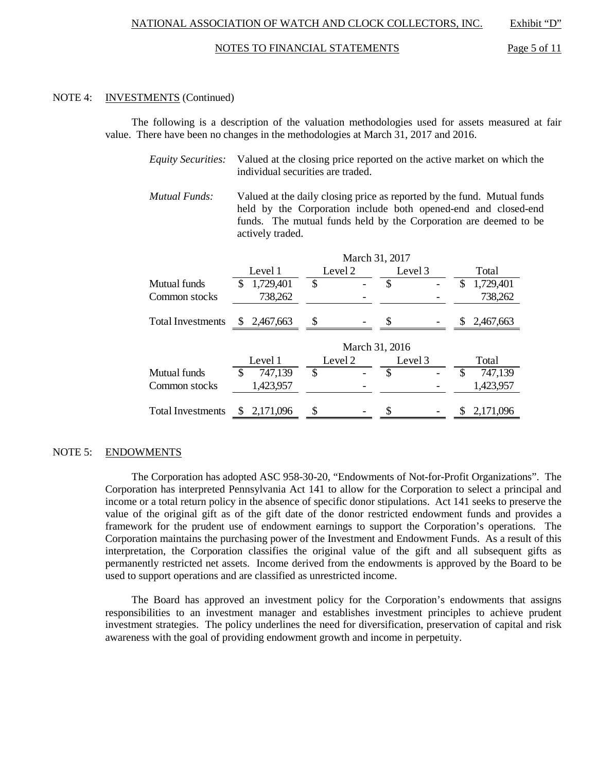### NOTES TO FINANCIAL STATEMENTS Page 5 of 11

#### NOTE 4: INVESTMENTS (Continued)

The following is a description of the valuation methodologies used for assets measured at fair value. There have been no changes in the methodologies at March 31, 2017 and 2016.

- *Equity Securities:* Valued at the closing price reported on the active market on which the individual securities are traded.
- *Mutual Funds:* Valued at the daily closing price as reported by the fund. Mutual funds held by the Corporation include both opened-end and closed-end funds. The mutual funds held by the Corporation are deemed to be actively traded.

|                          | March 31, 2017  |                |  |         |  |   |           |  |  |
|--------------------------|-----------------|----------------|--|---------|--|---|-----------|--|--|
|                          | Level 1         | Level 2        |  | Level 3 |  |   | Total     |  |  |
| Mutual funds             | 1,729,401<br>\$ | \$             |  | \$      |  | S | 1,729,401 |  |  |
| Common stocks            | 738,262         |                |  |         |  |   | 738,262   |  |  |
| <b>Total Investments</b> | 2,467,663       | $\mathcal{S}$  |  |         |  |   | 2,467,663 |  |  |
|                          |                 | March 31, 2016 |  |         |  |   |           |  |  |
|                          | Level 1         | Level 2        |  | Level 3 |  |   | Total     |  |  |
| Mutual funds             | 747,139<br>S    | S              |  | \$      |  | S | 747,139   |  |  |
| Common stocks            | 1,423,957       |                |  |         |  |   | 1,423,957 |  |  |
| <b>Total Investments</b> | 2,171,096       |                |  |         |  |   | 2,171,096 |  |  |

#### NOTE 5: ENDOWMENTS

The Corporation has adopted ASC 958-30-20, "Endowments of Not-for-Profit Organizations". The Corporation has interpreted Pennsylvania Act 141 to allow for the Corporation to select a principal and income or a total return policy in the absence of specific donor stipulations. Act 141 seeks to preserve the value of the original gift as of the gift date of the donor restricted endowment funds and provides a framework for the prudent use of endowment earnings to support the Corporation's operations. The Corporation maintains the purchasing power of the Investment and Endowment Funds. As a result of this interpretation, the Corporation classifies the original value of the gift and all subsequent gifts as permanently restricted net assets. Income derived from the endowments is approved by the Board to be used to support operations and are classified as unrestricted income.

The Board has approved an investment policy for the Corporation's endowments that assigns responsibilities to an investment manager and establishes investment principles to achieve prudent investment strategies. The policy underlines the need for diversification, preservation of capital and risk awareness with the goal of providing endowment growth and income in perpetuity.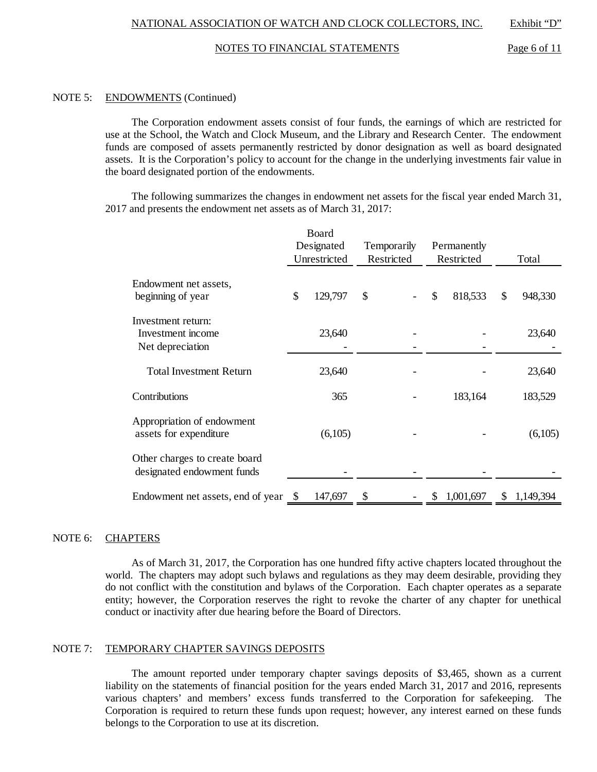#### NOTES TO FINANCIAL STATEMENTS Page 6 of 11

### NOTE 5: ENDOWMENTS (Continued)

The Corporation endowment assets consist of four funds, the earnings of which are restricted for use at the School, the Watch and Clock Museum, and the Library and Research Center. The endowment funds are composed of assets permanently restricted by donor designation as well as board designated assets. It is the Corporation's policy to account for the change in the underlying investments fair value in the board designated portion of the endowments.

The following summarizes the changes in endowment net assets for the fiscal year ended March 31, 2017 and presents the endowment net assets as of March 31, 2017:

|                                                             | Board        |         |             |            |             |           |               |           |
|-------------------------------------------------------------|--------------|---------|-------------|------------|-------------|-----------|---------------|-----------|
|                                                             | Designated   |         | Temporarily |            | Permanently |           |               |           |
|                                                             | Unrestricted |         |             | Restricted | Restricted  |           | Total         |           |
| Endowment net assets,<br>beginning of year                  | \$           | 129,797 | \$          |            | \$          | 818,533   | \$            | 948,330   |
| Investment return:<br>Investment income<br>Net depreciation |              | 23,640  |             |            |             |           |               | 23,640    |
| <b>Total Investment Return</b>                              |              | 23,640  |             |            |             |           |               | 23,640    |
| Contributions                                               |              | 365     |             |            |             | 183,164   |               | 183,529   |
| Appropriation of endowment<br>assets for expenditure        |              | (6,105) |             |            |             |           |               | (6,105)   |
| Other charges to create board<br>designated endowment funds |              |         |             |            |             |           |               |           |
| Endowment net assets, end of year \$                        |              | 147,697 |             |            | <b>S</b>    | 1,001,697 | <sup>\$</sup> | 1,149,394 |

#### NOTE 6: CHAPTERS

As of March 31, 2017, the Corporation has one hundred fifty active chapters located throughout the world. The chapters may adopt such bylaws and regulations as they may deem desirable, providing they do not conflict with the constitution and bylaws of the Corporation. Each chapter operates as a separate entity; however, the Corporation reserves the right to revoke the charter of any chapter for unethical conduct or inactivity after due hearing before the Board of Directors.

#### NOTE 7: TEMPORARY CHAPTER SAVINGS DEPOSITS

The amount reported under temporary chapter savings deposits of \$3,465, shown as a current liability on the statements of financial position for the years ended March 31, 2017 and 2016, represents various chapters' and members' excess funds transferred to the Corporation for safekeeping. The Corporation is required to return these funds upon request; however, any interest earned on these funds belongs to the Corporation to use at its discretion.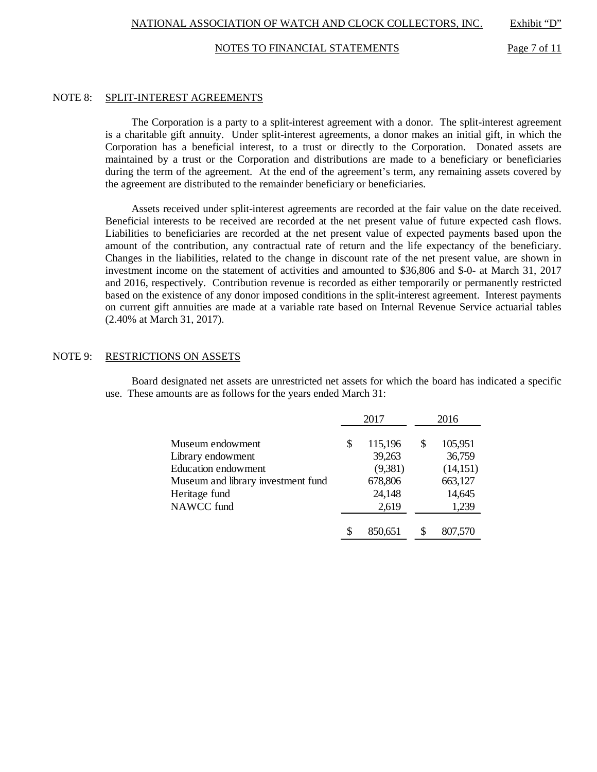### NOTES TO FINANCIAL STATEMENTS Page 7 of 11

### NOTE 8: SPLIT-INTEREST AGREEMENTS

The Corporation is a party to a split-interest agreement with a donor. The split-interest agreement is a charitable gift annuity. Under split-interest agreements, a donor makes an initial gift, in which the Corporation has a beneficial interest, to a trust or directly to the Corporation. Donated assets are maintained by a trust or the Corporation and distributions are made to a beneficiary or beneficiaries during the term of the agreement. At the end of the agreement's term, any remaining assets covered by the agreement are distributed to the remainder beneficiary or beneficiaries.

Assets received under split-interest agreements are recorded at the fair value on the date received. Beneficial interests to be received are recorded at the net present value of future expected cash flows. Liabilities to beneficiaries are recorded at the net present value of expected payments based upon the amount of the contribution, any contractual rate of return and the life expectancy of the beneficiary. Changes in the liabilities, related to the change in discount rate of the net present value, are shown in investment income on the statement of activities and amounted to \$36,806 and \$-0- at March 31, 2017 and 2016, respectively. Contribution revenue is recorded as either temporarily or permanently restricted based on the existence of any donor imposed conditions in the split-interest agreement. Interest payments on current gift annuities are made at a variable rate based on Internal Revenue Service actuarial tables (2.40% at March 31, 2017).

#### NOTE 9: RESTRICTIONS ON ASSETS

Board designated net assets are unrestricted net assets for which the board has indicated a specific use. These amounts are as follows for the years ended March 31:

| 2017 |         |                    | 2016     |
|------|---------|--------------------|----------|
|      |         |                    | 105,951  |
|      | 39,263  |                    | 36,759   |
|      | (9,381) |                    | (14,151) |
|      | 678,806 |                    | 663,127  |
|      | 24,148  |                    | 14,645   |
|      | 2,619   |                    | 1,239    |
|      |         |                    | 807,570  |
|      | \$      | 115,196<br>850,651 | S        |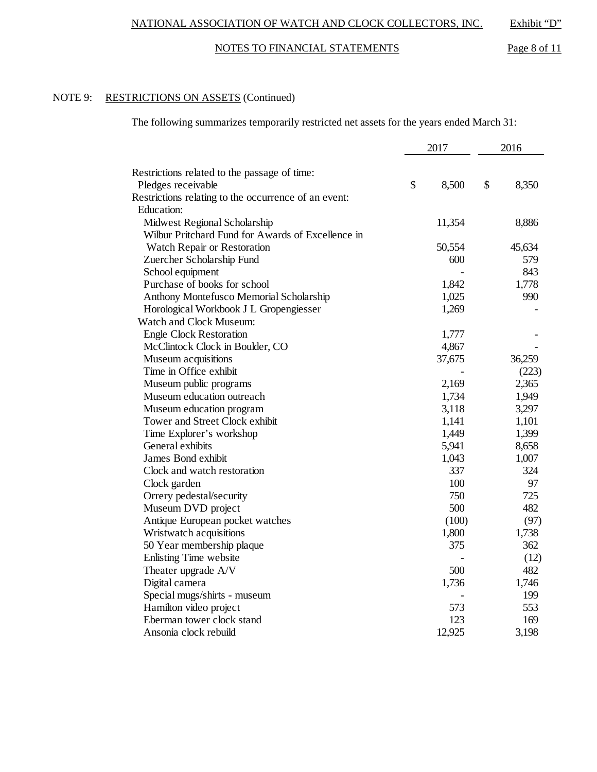# NOTES TO FINANCIAL STATEMENTS Page 8 of 11

# NOTE 9: RESTRICTIONS ON ASSETS (Continued)

The following summarizes temporarily restricted net assets for the years ended March 31:

|                                                      | 2017 |        | 2016        |  |
|------------------------------------------------------|------|--------|-------------|--|
| Restrictions related to the passage of time:         |      |        |             |  |
| Pledges receivable                                   | \$   | 8,500  | \$<br>8,350 |  |
| Restrictions relating to the occurrence of an event: |      |        |             |  |
| Education:                                           |      |        |             |  |
| Midwest Regional Scholarship                         |      | 11,354 | 8,886       |  |
| Wilbur Pritchard Fund for Awards of Excellence in    |      |        |             |  |
| Watch Repair or Restoration                          |      | 50,554 | 45,634      |  |
| Zuercher Scholarship Fund                            |      | 600    | 579         |  |
| School equipment                                     |      |        | 843         |  |
| Purchase of books for school                         |      | 1,842  | 1,778       |  |
| Anthony Montefusco Memorial Scholarship              |      | 1,025  | 990         |  |
| Horological Workbook J L Gropengiesser               |      | 1,269  |             |  |
| <b>Watch and Clock Museum:</b>                       |      |        |             |  |
| <b>Engle Clock Restoration</b>                       |      | 1,777  |             |  |
| McClintock Clock in Boulder, CO                      |      | 4,867  |             |  |
| Museum acquisitions                                  |      | 37,675 | 36,259      |  |
| Time in Office exhibit                               |      |        | (223)       |  |
| Museum public programs                               |      | 2,169  | 2,365       |  |
| Museum education outreach                            |      | 1,734  | 1,949       |  |
| Museum education program                             |      | 3,118  | 3,297       |  |
| Tower and Street Clock exhibit                       |      | 1,141  | 1,101       |  |
| Time Explorer's workshop                             |      | 1,449  | 1,399       |  |
| General exhibits                                     |      | 5,941  | 8,658       |  |
| James Bond exhibit                                   |      | 1,043  | 1,007       |  |
| Clock and watch restoration                          |      | 337    | 324         |  |
| Clock garden                                         |      | 100    | 97          |  |
| Orrery pedestal/security                             |      | 750    | 725         |  |
| Museum DVD project                                   |      | 500    | 482         |  |
| Antique European pocket watches                      |      | (100)  | (97)        |  |
| Wristwatch acquisitions                              |      | 1,800  | 1,738       |  |
| 50 Year membership plaque                            |      | 375    | 362         |  |
| Enlisting Time website                               |      |        | (12)        |  |
| Theater upgrade A/V                                  |      | 500    | 482         |  |
| Digital camera                                       |      | 1,736  | 1,746       |  |
| Special mugs/shirts - museum                         |      |        | 199         |  |
| Hamilton video project                               |      | 573    | 553         |  |
| Eberman tower clock stand                            |      | 123    | 169         |  |
| Ansonia clock rebuild                                |      | 12,925 | 3,198       |  |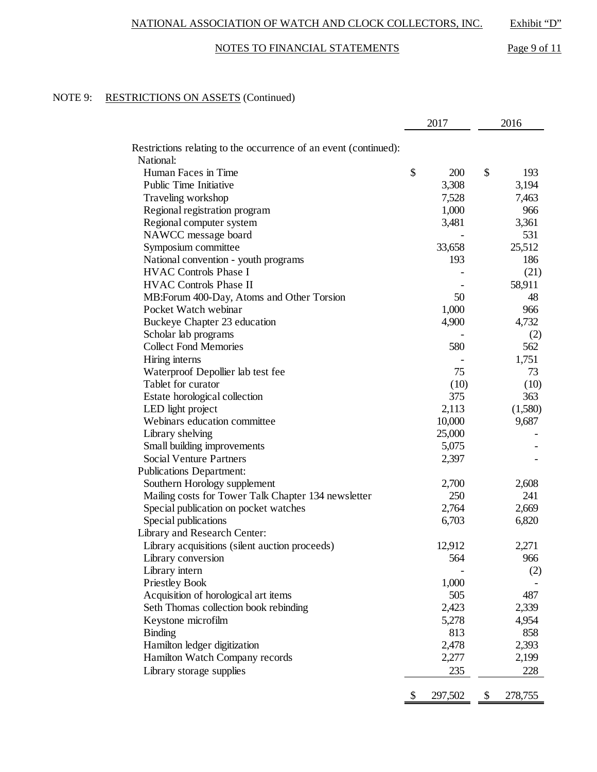# NOTES TO FINANCIAL STATEMENTS Page 9 of 11

# NOTE 9: RESTRICTIONS ON ASSETS (Continued)

|                                                                   | 2017           | 2016          |
|-------------------------------------------------------------------|----------------|---------------|
|                                                                   |                |               |
| Restrictions relating to the occurrence of an event (continued):  |                |               |
| National:<br>Human Faces in Time                                  | \$<br>200      | \$            |
| <b>Public Time Initiative</b>                                     | 3,308          | 193<br>3,194  |
|                                                                   |                |               |
| Traveling workshop                                                | 7,528<br>1,000 | 7,463<br>966  |
| Regional registration program                                     |                |               |
| Regional computer system                                          | 3,481          | 3,361<br>531  |
| NAWCC message board                                               |                | 25,512        |
| Symposium committee                                               | 33,658         |               |
| National convention - youth programs                              | 193            | 186           |
| <b>HVAC Controls Phase I</b><br><b>HVAC Controls Phase II</b>     |                | (21)          |
|                                                                   |                | 58,911        |
| MB:Forum 400-Day, Atoms and Other Torsion<br>Pocket Watch webinar | 50             | 48            |
|                                                                   | 1,000          | 966           |
| Buckeye Chapter 23 education                                      | 4,900          | 4,732         |
| Scholar lab programs<br><b>Collect Fond Memories</b>              | 580            | (2)<br>562    |
|                                                                   |                |               |
| Hiring interns                                                    |                | 1,751         |
| Waterproof Depollier lab test fee<br>Tablet for curator           | 75             | 73            |
| Estate horological collection                                     | (10)<br>375    | (10)<br>363   |
|                                                                   | 2,113          |               |
| LED light project<br>Webinars education committee                 |                | (1,580)       |
|                                                                   | 10,000         | 9,687         |
| Library shelving                                                  | 25,000         |               |
| Small building improvements<br><b>Social Venture Partners</b>     | 5,075          |               |
|                                                                   | 2,397          |               |
| <b>Publications Department:</b>                                   |                |               |
| Southern Horology supplement                                      | 2,700<br>250   | 2,608<br>241  |
| Mailing costs for Tower Talk Chapter 134 newsletter               |                |               |
| Special publication on pocket watches<br>Special publications     | 2,764          | 2,669         |
| Library and Research Center:                                      | 6,703          | 6,820         |
| Library acquisitions (silent auction proceeds)                    | 12,912         |               |
| Library conversion                                                | 564            | 2,271<br>966  |
|                                                                   |                |               |
| Library intern<br><b>Priestley Book</b>                           | 1,000          | (2)           |
| Acquisition of horological art items                              | 505            | 487           |
|                                                                   | 2,423          | 2,339         |
| Seth Thomas collection book rebinding                             |                |               |
| Keystone microfilm                                                | 5,278<br>813   | 4,954<br>858  |
| <b>Binding</b>                                                    |                |               |
| Hamilton ledger digitization                                      | 2,478          | 2,393         |
| Hamilton Watch Company records                                    | 2,277          | 2,199         |
| Library storage supplies                                          | 235            | 228           |
|                                                                   | \$<br>297,502  | \$<br>278,755 |
|                                                                   |                |               |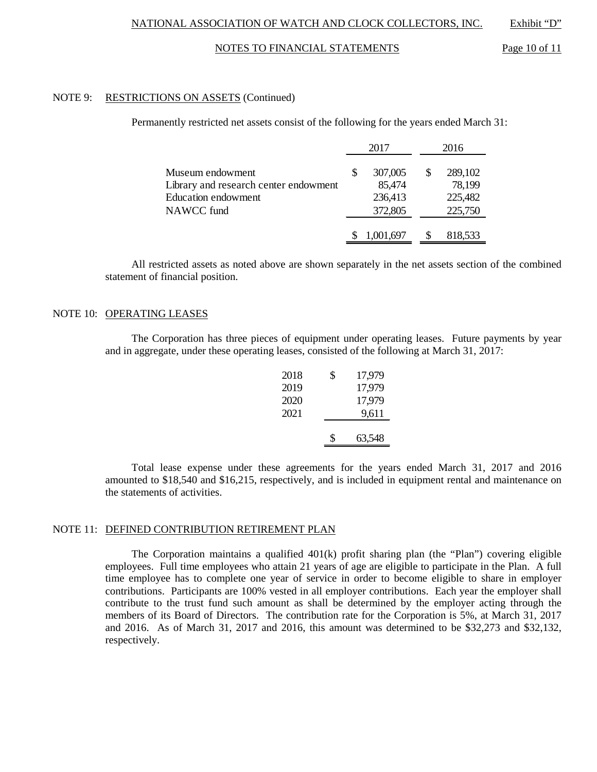### NOTES TO FINANCIAL STATEMENTS Page 10 of 11

## NOTE 9: RESTRICTIONS ON ASSETS (Continued)

Permanently restricted net assets consist of the following for the years ended March 31:

|                                                                                                | 2017 |                                         | 2016 |                                         |
|------------------------------------------------------------------------------------------------|------|-----------------------------------------|------|-----------------------------------------|
| Museum endowment<br>Library and research center endowment<br>Education endowment<br>NAWCC fund | S    | 307,005<br>85,474<br>236,413<br>372,805 |      | 289,102<br>78,199<br>225,482<br>225,750 |
|                                                                                                |      | 1,001,697                               |      | 818,533                                 |

All restricted assets as noted above are shown separately in the net assets section of the combined statement of financial position.

### NOTE 10: OPERATING LEASES

The Corporation has three pieces of equipment under operating leases. Future payments by year and in aggregate, under these operating leases, consisted of the following at March 31, 2017:

| 2018 | \$ | 17,979 |
|------|----|--------|
| 2019 |    | 17,979 |
| 2020 |    | 17,979 |
| 2021 |    | 9,611  |
|      |    |        |
|      | ፍ  | 63,548 |

Total lease expense under these agreements for the years ended March 31, 2017 and 2016 amounted to \$18,540 and \$16,215, respectively, and is included in equipment rental and maintenance on the statements of activities.

# NOTE 11: DEFINED CONTRIBUTION RETIREMENT PLAN

The Corporation maintains a qualified  $401(k)$  profit sharing plan (the "Plan") covering eligible employees. Full time employees who attain 21 years of age are eligible to participate in the Plan. A full time employee has to complete one year of service in order to become eligible to share in employer contributions. Participants are 100% vested in all employer contributions. Each year the employer shall contribute to the trust fund such amount as shall be determined by the employer acting through the members of its Board of Directors. The contribution rate for the Corporation is 5%, at March 31, 2017 and 2016. As of March 31, 2017 and 2016, this amount was determined to be \$32,273 and \$32,132, respectively.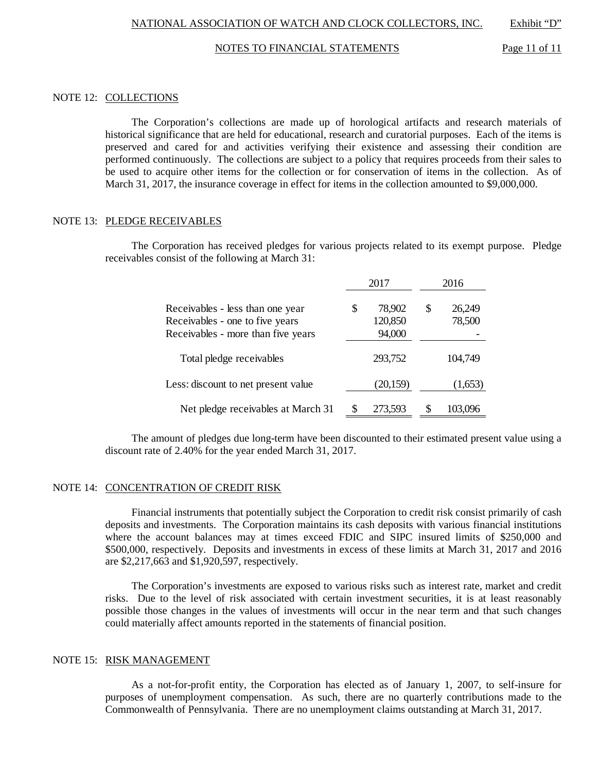### NOTES TO FINANCIAL STATEMENTS Page 11 of 11

### NOTE 12: COLLECTIONS

The Corporation's collections are made up of horological artifacts and research materials of historical significance that are held for educational, research and curatorial purposes. Each of the items is preserved and cared for and activities verifying their existence and assessing their condition are performed continuously. The collections are subject to a policy that requires proceeds from their sales to be used to acquire other items for the collection or for conservation of items in the collection. As of March 31, 2017, the insurance coverage in effect for items in the collection amounted to \$9,000,000.

#### NOTE 13: PLEDGE RECEIVABLES

The Corporation has received pledges for various projects related to its exempt purpose. Pledge receivables consist of the following at March 31:

|                                                                                                           | 2017                             | 2016                   |
|-----------------------------------------------------------------------------------------------------------|----------------------------------|------------------------|
| Receivables - less than one year<br>Receivables - one to five years<br>Receivables - more than five years | 78,902<br>S<br>120,850<br>94,000 | \$<br>26,249<br>78,500 |
| Total pledge receivables                                                                                  | 293,752                          | 104,749                |
| Less: discount to net present value                                                                       | (20, 159)                        | (1,653)                |
| Net pledge receivables at March 31                                                                        | 273,593<br>S                     | S<br>103,096           |

The amount of pledges due long-term have been discounted to their estimated present value using a discount rate of 2.40% for the year ended March 31, 2017.

### NOTE 14: CONCENTRATION OF CREDIT RISK

Financial instruments that potentially subject the Corporation to credit risk consist primarily of cash deposits and investments. The Corporation maintains its cash deposits with various financial institutions where the account balances may at times exceed FDIC and SIPC insured limits of \$250,000 and \$500,000, respectively. Deposits and investments in excess of these limits at March 31, 2017 and 2016 are \$2,217,663 and \$1,920,597, respectively.

The Corporation's investments are exposed to various risks such as interest rate, market and credit risks. Due to the level of risk associated with certain investment securities, it is at least reasonably possible those changes in the values of investments will occur in the near term and that such changes could materially affect amounts reported in the statements of financial position.

### NOTE 15: RISK MANAGEMENT

As a not-for-profit entity, the Corporation has elected as of January 1, 2007, to self-insure for purposes of unemployment compensation. As such, there are no quarterly contributions made to the Commonwealth of Pennsylvania. There are no unemployment claims outstanding at March 31, 2017.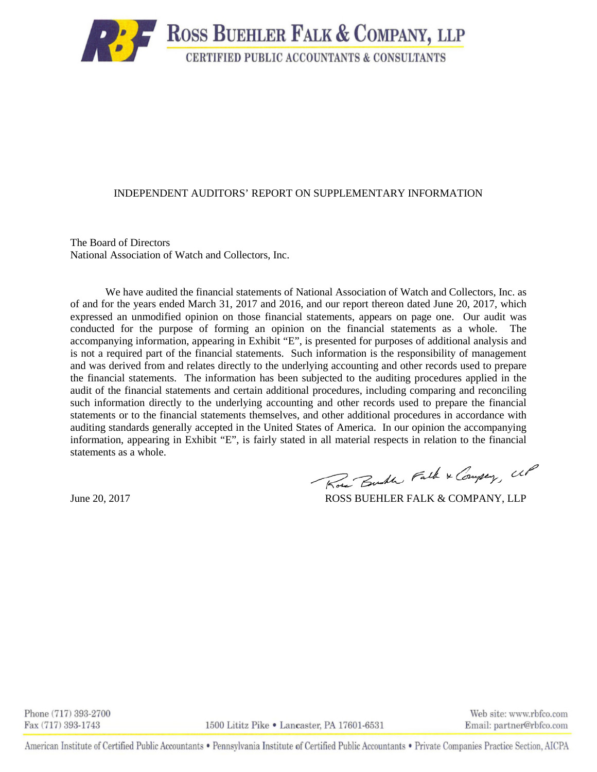

# INDEPENDENT AUDITORS' REPORT ON SUPPLEMENTARY INFORMATION

The Board of Directors National Association of Watch and Collectors, Inc.

We have audited the financial statements of National Association of Watch and Collectors, Inc. as of and for the years ended March 31, 2017 and 2016, and our report thereon dated June 20, 2017, which expressed an unmodified opinion on those financial statements, appears on page one. Our audit was conducted for the purpose of forming an opinion on the financial statements as a whole. The accompanying information, appearing in Exhibit "E", is presented for purposes of additional analysis and is not a required part of the financial statements. Such information is the responsibility of management and was derived from and relates directly to the underlying accounting and other records used to prepare the financial statements. The information has been subjected to the auditing procedures applied in the audit of the financial statements and certain additional procedures, including comparing and reconciling such information directly to the underlying accounting and other records used to prepare the financial statements or to the financial statements themselves, and other additional procedures in accordance with auditing standards generally accepted in the United States of America. In our opinion the accompanying information, appearing in Exhibit "E", is fairly stated in all material respects in relation to the financial statements as a whole.

Rose Bushler Falk & Company, UP

June 20, 2017 ROSS BUEHLER FALK & COMPANY, LLP

1500 Lititz Pike . Lancaster, PA 17601-6531

Web site: www.rbfco.com Email: partner@rbfco.com

American Institute of Certified Public Accountants . Pennsylvania Institute of Certified Public Accountants . Private Companies Practice Section, AICPA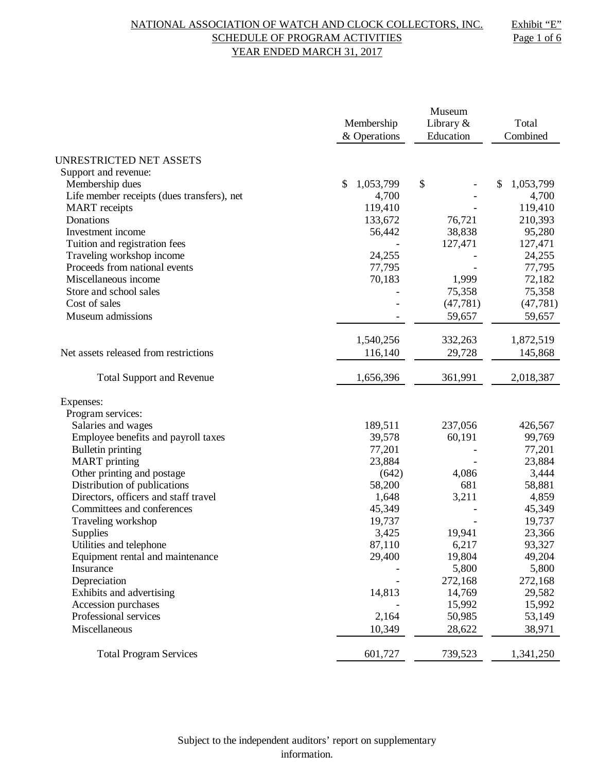Exhibit "E" Page 1 of 6

|                                            | Membership      | Library & | Total           |  |
|--------------------------------------------|-----------------|-----------|-----------------|--|
|                                            | & Operations    | Education | Combined        |  |
| UNRESTRICTED NET ASSETS                    |                 |           |                 |  |
| Support and revenue:                       |                 |           |                 |  |
| Membership dues                            | \$<br>1,053,799 | \$        | \$<br>1,053,799 |  |
| Life member receipts (dues transfers), net | 4,700           |           | 4,700           |  |
| <b>MART</b> receipts                       | 119,410         |           | 119,410         |  |
| Donations                                  | 133,672         | 76,721    | 210,393         |  |
| Investment income                          | 56,442          | 38,838    | 95,280          |  |
| Tuition and registration fees              |                 | 127,471   | 127,471         |  |
| Traveling workshop income                  | 24,255          |           | 24,255          |  |
| Proceeds from national events              | 77,795          |           | 77,795          |  |
| Miscellaneous income                       | 70,183          | 1,999     | 72,182          |  |
| Store and school sales                     |                 | 75,358    | 75,358          |  |
|                                            |                 |           |                 |  |
| Cost of sales                              |                 | (47, 781) | (47, 781)       |  |
| Museum admissions                          |                 | 59,657    | 59,657          |  |
|                                            | 1,540,256       | 332,263   | 1,872,519       |  |
| Net assets released from restrictions      | 116,140         | 29,728    | 145,868         |  |
| <b>Total Support and Revenue</b>           | 1,656,396       | 361,991   | 2,018,387       |  |
| Expenses:                                  |                 |           |                 |  |
| Program services:                          |                 |           |                 |  |
| Salaries and wages                         | 189,511         | 237,056   | 426,567         |  |
| Employee benefits and payroll taxes        | 39,578          | 60,191    | 99,769          |  |
| <b>Bulletin printing</b>                   | 77,201          |           | 77,201          |  |
| <b>MART</b> printing                       | 23,884          |           | 23,884          |  |
| Other printing and postage                 | (642)           | 4,086     | 3,444           |  |
| Distribution of publications               | 58,200          | 681       | 58,881          |  |
| Directors, officers and staff travel       | 1,648           | 3,211     | 4,859           |  |
| Committees and conferences                 | 45,349          |           | 45,349          |  |
| Traveling workshop                         | 19,737          |           | 19,737          |  |
| Supplies                                   | 3,425           | 19,941    | 23,366          |  |
| Utilities and telephone                    | 87,110          | 6,217     | 93,327          |  |
| Equipment rental and maintenance           | 29,400          | 19,804    | 49,204          |  |
| Insurance                                  |                 | 5,800     | 5,800           |  |
| Depreciation                               |                 | 272,168   | 272,168         |  |
| Exhibits and advertising                   | 14,813          | 14,769    | 29,582          |  |
| Accession purchases                        |                 | 15,992    | 15,992          |  |
| Professional services                      | 2,164           | 50,985    | 53,149          |  |
| Miscellaneous                              | 10,349          | 28,622    | 38,971          |  |
| <b>Total Program Services</b>              | 601,727         | 739,523   | 1,341,250       |  |
|                                            |                 |           |                 |  |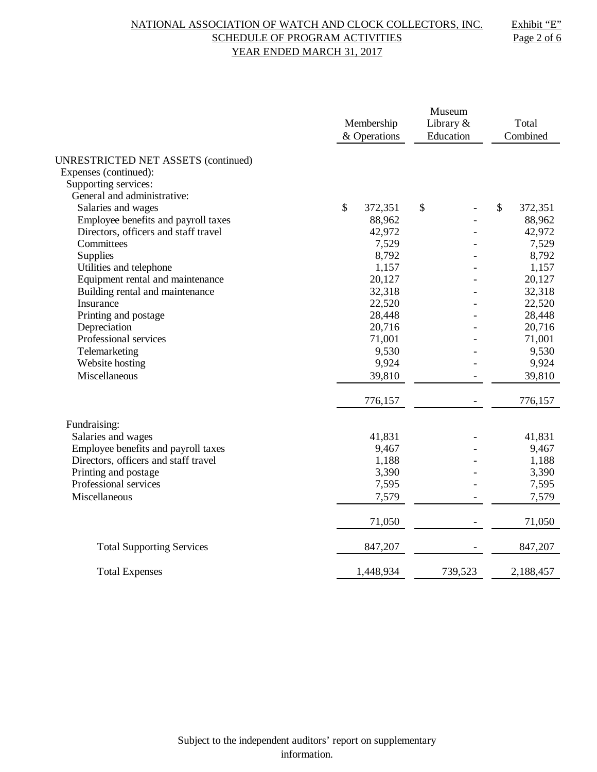Exhibit "E" Page 2 of 6

Museum Membership Library & Total & Operations Education Combined

| upporting services:                  |               |   |                          |              |         |
|--------------------------------------|---------------|---|--------------------------|--------------|---------|
| General and administrative:          |               |   |                          |              |         |
| Salaries and wages                   | \$<br>372,351 | S | $\overline{\phantom{0}}$ | <sup>S</sup> | 372,351 |
| Employee benefits and payroll taxes  | 88,962        |   |                          |              | 88,962  |
| Directors, officers and staff travel | 42,972        |   |                          |              | 42,972  |
| Committees                           | 7,529         |   |                          |              | 7,529   |
| <b>Supplies</b>                      | 8,792         |   |                          |              | 8,792   |
| Utilities and telephone              | 1,157         |   |                          |              | 1,157   |
| Equipment rental and maintenance     | 20,127        |   |                          |              | 20,127  |
| Building rental and maintenance      | 32,318        |   |                          |              | 32,318  |
| Insurance                            | 22,520        |   |                          |              | 22,520  |

UNRESTRICTED NET ASSETS (continued)

Expenses (continued): Supporting services:

| Equipment rental and maintenance     | 20,127  | 20,127  |
|--------------------------------------|---------|---------|
| Building rental and maintenance      | 32,318  | 32,318  |
| Insurance                            | 22,520  | 22,520  |
| Printing and postage                 | 28,448  | 28,448  |
| Depreciation                         | 20,716  | 20,716  |
| Professional services                | 71,001  | 71,001  |
| Telemarketing                        | 9,530   | 9,530   |
| Website hosting                      | 9,924   | 9,924   |
| Miscellaneous                        | 39,810  | 39,810  |
|                                      | 776,157 | 776,157 |
| Fundraising:                         |         |         |
| Salaries and wages                   | 41,831  | 41,831  |
| Employee benefits and payroll taxes  | 9,467   | 9,467   |
| Directors, officers and staff travel | 1,188   | 1,188   |
| Printing and postage                 | 3,390   | 3,390   |
| Professional services                | 7,595   | 7,595   |
| Miscellaneous                        | 7,579   | 7,579   |
|                                      | 71,050  | 71,050  |
|                                      |         |         |

| <b>Total Supporting Services</b> | 847,207   | $\overline{\phantom{0}}$ | 847,207   |
|----------------------------------|-----------|--------------------------|-----------|
| <b>Total Expenses</b>            | 1,448,934 | 739,523                  | 2,188,457 |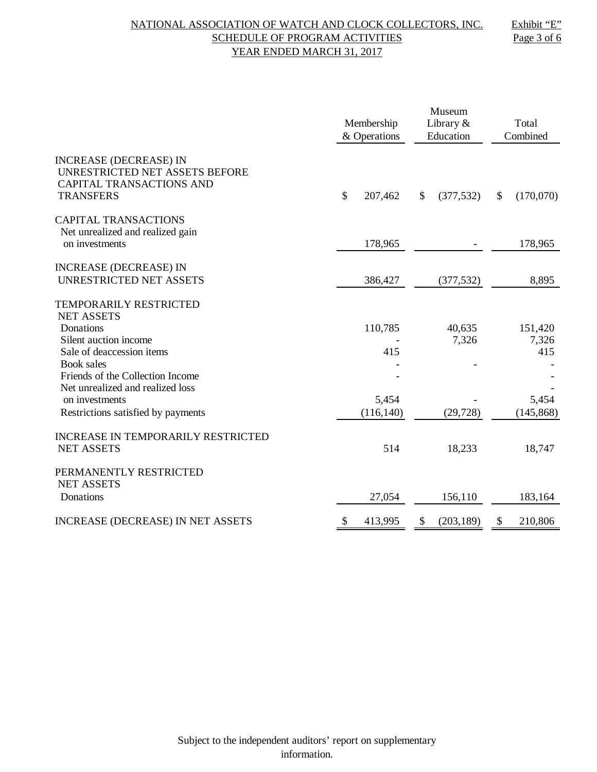Exhibit "E" Page 3 of 6

|                                                                                                                 |    | Museum                     |               |                        |    |            |  |
|-----------------------------------------------------------------------------------------------------------------|----|----------------------------|---------------|------------------------|----|------------|--|
|                                                                                                                 |    | Membership<br>& Operations |               | Library &<br>Education |    | Total      |  |
|                                                                                                                 |    |                            |               |                        |    | Combined   |  |
| <b>INCREASE (DECREASE) IN</b><br>UNRESTRICTED NET ASSETS BEFORE<br>CAPITAL TRANSACTIONS AND<br><b>TRANSFERS</b> | \$ | 207,462                    | $\mathcal{S}$ | (377, 532)             | \$ | (170,070)  |  |
| <b>CAPITAL TRANSACTIONS</b><br>Net unrealized and realized gain<br>on investments                               |    | 178,965                    |               |                        |    | 178,965    |  |
| <b>INCREASE (DECREASE) IN</b>                                                                                   |    |                            |               |                        |    |            |  |
| UNRESTRICTED NET ASSETS                                                                                         |    | 386,427                    |               | (377, 532)             |    | 8,895      |  |
| <b>TEMPORARILY RESTRICTED</b><br><b>NET ASSETS</b>                                                              |    |                            |               |                        |    |            |  |
| Donations                                                                                                       |    | 110,785                    |               | 40,635                 |    | 151,420    |  |
| Silent auction income                                                                                           |    |                            |               | 7,326                  |    | 7,326      |  |
| Sale of deaccession items                                                                                       |    | 415                        |               |                        |    | 415        |  |
| <b>Book sales</b>                                                                                               |    |                            |               |                        |    |            |  |
| Friends of the Collection Income                                                                                |    |                            |               |                        |    |            |  |
| Net unrealized and realized loss                                                                                |    |                            |               |                        |    |            |  |
| on investments                                                                                                  |    | 5,454                      |               |                        |    | 5,454      |  |
| Restrictions satisfied by payments                                                                              |    | (116, 140)                 |               | (29, 728)              |    | (145, 868) |  |
| <b>INCREASE IN TEMPORARILY RESTRICTED</b><br><b>NET ASSETS</b>                                                  |    | 514                        |               | 18,233                 |    | 18,747     |  |
| PERMANENTLY RESTRICTED<br><b>NET ASSETS</b>                                                                     |    |                            |               |                        |    |            |  |
| Donations                                                                                                       |    | 27,054                     |               | 156,110                |    | 183,164    |  |
| <b>INCREASE (DECREASE) IN NET ASSETS</b>                                                                        | \$ | 413,995                    | \$            | (203, 189)             | \$ | 210,806    |  |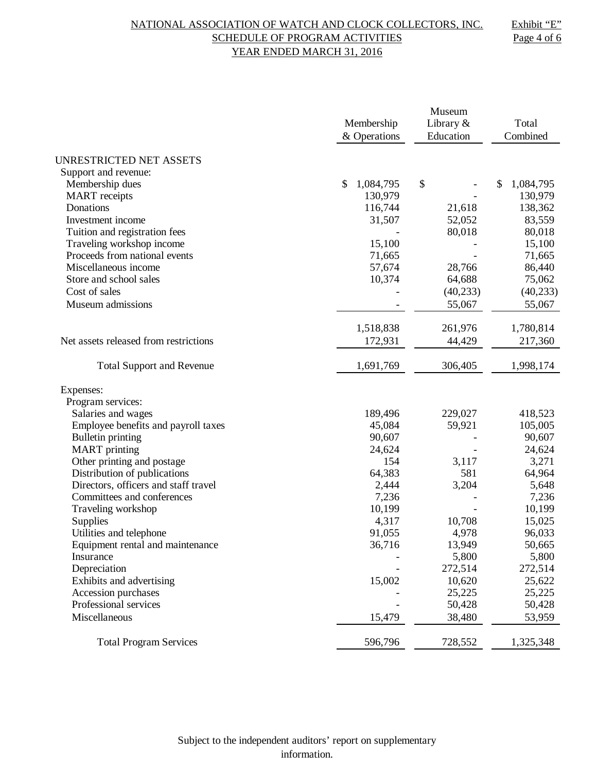Exhibit "E" Page 4 of 6

|                                       |                 | Museum    |                            |
|---------------------------------------|-----------------|-----------|----------------------------|
|                                       | Membership      | Library & | Total                      |
|                                       | & Operations    | Education | Combined                   |
| <b>UNRESTRICTED NET ASSETS</b>        |                 |           |                            |
| Support and revenue:                  |                 |           |                            |
| Membership dues                       | \$<br>1,084,795 | \$        | $\mathcal{S}$<br>1,084,795 |
| <b>MART</b> receipts                  | 130,979         |           | 130,979                    |
| Donations                             | 116,744         | 21,618    | 138,362                    |
| Investment income                     | 31,507          | 52,052    | 83,559                     |
| Tuition and registration fees         |                 | 80,018    | 80,018                     |
| Traveling workshop income             | 15,100          |           | 15,100                     |
| Proceeds from national events         | 71,665          |           | 71,665                     |
| Miscellaneous income                  | 57,674          | 28,766    | 86,440                     |
| Store and school sales                | 10,374          | 64,688    | 75,062                     |
| Cost of sales                         |                 | (40, 233) | (40, 233)                  |
| Museum admissions                     |                 | 55,067    | 55,067                     |
|                                       | 1,518,838       | 261,976   | 1,780,814                  |
| Net assets released from restrictions | 172,931         | 44,429    | 217,360                    |
| <b>Total Support and Revenue</b>      | 1,691,769       | 306,405   | 1,998,174                  |
| Expenses:                             |                 |           |                            |
| Program services:                     |                 |           |                            |
| Salaries and wages                    | 189,496         | 229,027   | 418,523                    |
| Employee benefits and payroll taxes   | 45,084          | 59,921    | 105,005                    |
| <b>Bulletin printing</b>              | 90,607          |           | 90,607                     |
| <b>MART</b> printing                  | 24,624          |           | 24,624                     |
| Other printing and postage            | 154             | 3,117     | 3,271                      |
| Distribution of publications          | 64,383          | 581       | 64,964                     |
| Directors, officers and staff travel  | 2,444           | 3,204     | 5,648                      |
| Committees and conferences            | 7,236           |           | 7,236                      |
| Traveling workshop                    | 10,199          |           | 10,199                     |
| Supplies                              | 4,317           | 10,708    | 15,025                     |
| Utilities and telephone               | 91,055          | 4,978     | 96,033                     |
| Equipment rental and maintenance      | 36,716          | 13,949    | 50,665                     |
| Insurance                             |                 | 5,800     | 5,800                      |
| Depreciation                          |                 | 272,514   | 272,514                    |
| Exhibits and advertising              | 15,002          | 10,620    | 25,622                     |
| Accession purchases                   |                 | 25,225    | 25,225                     |
| Professional services                 |                 | 50,428    | 50,428                     |
| Miscellaneous                         | 15,479          | 38,480    | 53,959                     |
| <b>Total Program Services</b>         | 596,796         | 728,552   | 1,325,348                  |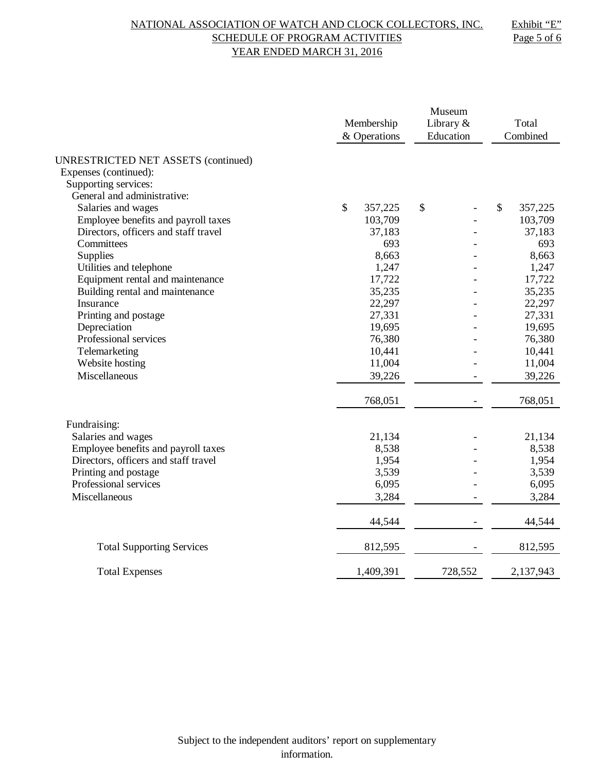Exhibit "E" Page 5 of 6

|                                            |                            | Museum    |                        |         |                   |           |
|--------------------------------------------|----------------------------|-----------|------------------------|---------|-------------------|-----------|
|                                            | Membership<br>& Operations |           | Library &<br>Education |         | Total<br>Combined |           |
|                                            |                            |           |                        |         |                   |           |
| <b>UNRESTRICTED NET ASSETS (continued)</b> |                            |           |                        |         |                   |           |
| Expenses (continued):                      |                            |           |                        |         |                   |           |
| Supporting services:                       |                            |           |                        |         |                   |           |
| General and administrative:                |                            |           |                        |         |                   |           |
| Salaries and wages                         | \$                         | 357,225   | \$                     |         | $\mathcal{S}$     | 357,225   |
| Employee benefits and payroll taxes        |                            | 103,709   |                        |         |                   | 103,709   |
| Directors, officers and staff travel       |                            | 37,183    |                        |         |                   | 37,183    |
| Committees                                 |                            | 693       |                        |         |                   | 693       |
| Supplies                                   |                            | 8,663     |                        |         |                   | 8,663     |
| Utilities and telephone                    |                            | 1,247     |                        |         |                   | 1,247     |
| Equipment rental and maintenance           |                            | 17,722    |                        |         |                   | 17,722    |
| Building rental and maintenance            |                            | 35,235    |                        |         |                   | 35,235    |
| Insurance                                  |                            | 22,297    |                        |         |                   | 22,297    |
| Printing and postage                       |                            | 27,331    |                        |         |                   | 27,331    |
| Depreciation                               |                            | 19,695    |                        |         |                   | 19,695    |
| Professional services                      |                            | 76,380    |                        |         |                   | 76,380    |
| Telemarketing                              |                            | 10,441    |                        |         |                   | 10,441    |
| Website hosting                            |                            | 11,004    |                        |         |                   | 11,004    |
| Miscellaneous                              |                            | 39,226    |                        |         |                   | 39,226    |
|                                            |                            | 768,051   |                        |         |                   | 768,051   |
| Fundraising:                               |                            |           |                        |         |                   |           |
| Salaries and wages                         |                            | 21,134    |                        |         |                   | 21,134    |
| Employee benefits and payroll taxes        |                            | 8,538     |                        |         |                   | 8,538     |
| Directors, officers and staff travel       |                            | 1,954     |                        |         |                   | 1,954     |
| Printing and postage                       |                            | 3,539     |                        |         |                   | 3,539     |
| Professional services                      |                            | 6,095     |                        |         |                   | 6,095     |
| Miscellaneous                              |                            | 3,284     |                        |         |                   | 3,284     |
|                                            |                            | 44,544    |                        |         |                   | 44,544    |
| <b>Total Supporting Services</b>           |                            | 812,595   |                        |         |                   | 812,595   |
| <b>Total Expenses</b>                      |                            | 1,409,391 |                        | 728,552 |                   | 2,137,943 |